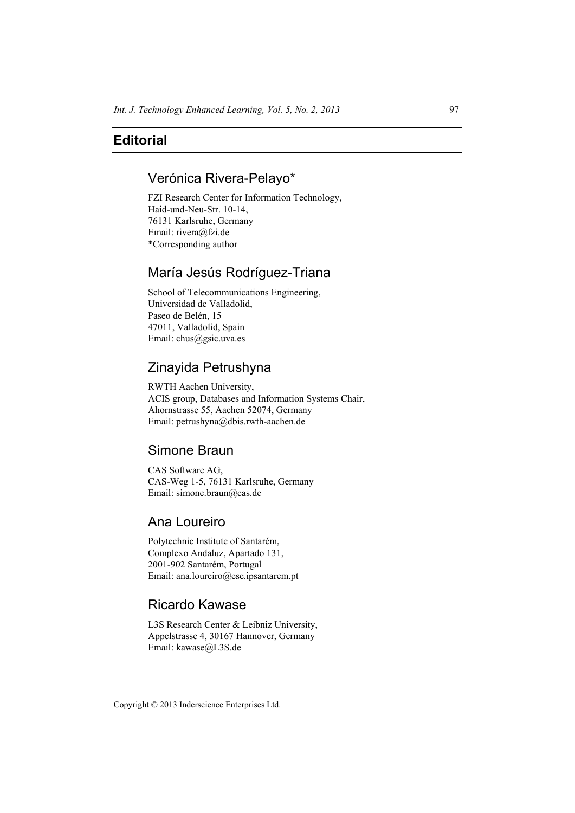## Verónica Rivera-Pelayo\*

FZI Research Center for Information Technology, Haid-und-Neu-Str. 10-14, 76131 Karlsruhe, Germany Email: rivera@fzi.de \*Corresponding author

# María Jesús Rodríguez-Triana

School of Telecommunications Engineering, Universidad de Valladolid, Paseo de Belén, 15 47011, Valladolid, Spain Email: chus@gsic.uva.es

# Zinayida Petrushyna

RWTH Aachen University, ACIS group, Databases and Information Systems Chair, Ahornstrasse 55, Aachen 52074, Germany Email: petrushyna@dbis.rwth-aachen.de

## Simone Braun

CAS Software AG, CAS-Weg 1-5, 76131 Karlsruhe, Germany Email: simone.braun@cas.de

### Ana Loureiro

Polytechnic Institute of Santarém, Complexo Andaluz, Apartado 131, 2001-902 Santarém, Portugal Email: ana.loureiro@ese.ipsantarem.pt

## Ricardo Kawase

L3S Research Center & Leibniz University, Appelstrasse 4, 30167 Hannover, Germany Email: kawase@L3S.de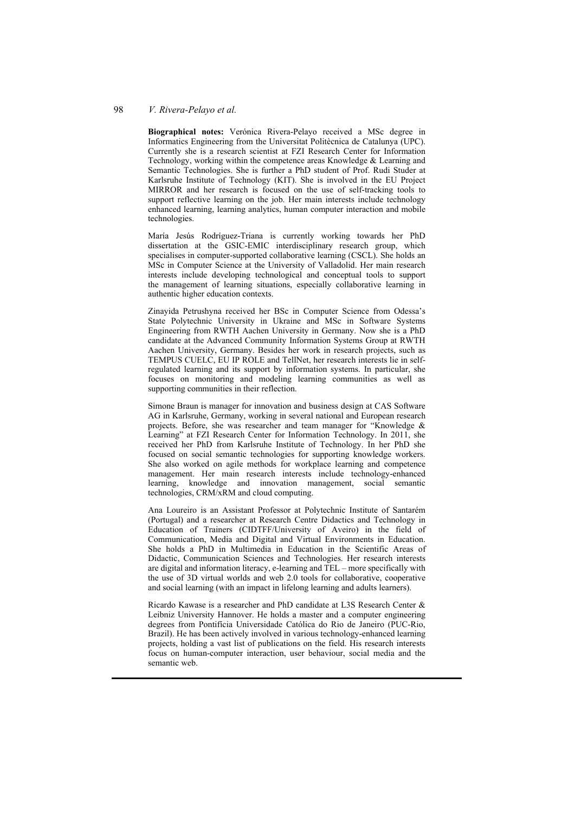**Biographical notes:** Verónica Rivera-Pelayo received a MSc degree in Informatics Engineering from the Universitat Politècnica de Catalunya (UPC). Currently she is a research scientist at FZI Research Center for Information Technology, working within the competence areas Knowledge & Learning and Semantic Technologies. She is further a PhD student of Prof. Rudi Studer at Karlsruhe Institute of Technology (KIT). She is involved in the EU Project MIRROR and her research is focused on the use of self-tracking tools to support reflective learning on the job. Her main interests include technology enhanced learning, learning analytics, human computer interaction and mobile technologies.

María Jesús Rodríguez-Triana is currently working towards her PhD dissertation at the GSIC-EMIC interdisciplinary research group, which specialises in computer-supported collaborative learning (CSCL). She holds an MSc in Computer Science at the University of Valladolid. Her main research interests include developing technological and conceptual tools to support the management of learning situations, especially collaborative learning in authentic higher education contexts.

Zinayida Petrushyna received her BSc in Computer Science from Odessa's State Polytechnic University in Ukraine and MSc in Software Systems Engineering from RWTH Aachen University in Germany. Now she is a PhD candidate at the Advanced Community Information Systems Group at RWTH Aachen University, Germany. Besides her work in research projects, such as TEMPUS CUELC, EU IP ROLE and TellNet, her research interests lie in selfregulated learning and its support by information systems. In particular, she focuses on monitoring and modeling learning communities as well as supporting communities in their reflection.

Simone Braun is manager for innovation and business design at CAS Software AG in Karlsruhe, Germany, working in several national and European research projects. Before, she was researcher and team manager for "Knowledge & Learning" at FZI Research Center for Information Technology. In 2011, she received her PhD from Karlsruhe Institute of Technology. In her PhD she focused on social semantic technologies for supporting knowledge workers. She also worked on agile methods for workplace learning and competence management. Her main research interests include technology-enhanced learning, knowledge and innovation management, social semantic technologies, CRM/xRM and cloud computing.

Ana Loureiro is an Assistant Professor at Polytechnic Institute of Santarém (Portugal) and a researcher at Research Centre Didactics and Technology in Education of Trainers (CIDTFF/University of Aveiro) in the field of Communication, Media and Digital and Virtual Environments in Education. She holds a PhD in Multimedia in Education in the Scientific Areas of Didactic, Communication Sciences and Technologies. Her research interests are digital and information literacy, e-learning and TEL – more specifically with the use of 3D virtual worlds and web 2.0 tools for collaborative, cooperative and social learning (with an impact in lifelong learning and adults learners).

Ricardo Kawase is a researcher and PhD candidate at L3S Research Center & Leibniz University Hannover. He holds a master and a computer engineering degrees from Pontifícia Universidade Católica do Rio de Janeiro (PUC-Rio, Brazil). He has been actively involved in various technology-enhanced learning projects, holding a vast list of publications on the field. His research interests focus on human-computer interaction, user behaviour, social media and the semantic web.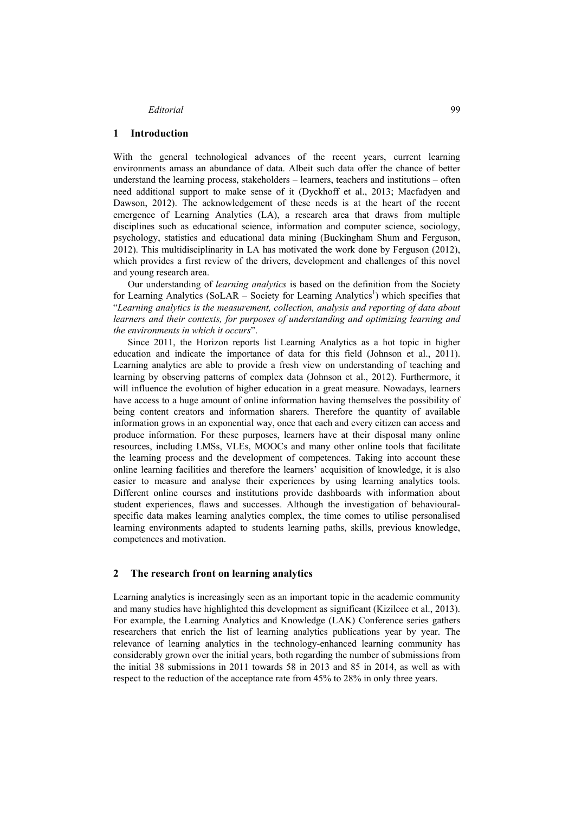#### **1 Introduction**

With the general technological advances of the recent years, current learning environments amass an abundance of data. Albeit such data offer the chance of better understand the learning process, stakeholders – learners, teachers and institutions – often need additional support to make sense of it (Dyckhoff et al., 2013; Macfadyen and Dawson, 2012). The acknowledgement of these needs is at the heart of the recent emergence of Learning Analytics (LA), a research area that draws from multiple disciplines such as educational science, information and computer science, sociology, psychology, statistics and educational data mining (Buckingham Shum and Ferguson, 2012). This multidisciplinarity in LA has motivated the work done by Ferguson (2012), which provides a first review of the drivers, development and challenges of this novel and young research area.

Our understanding of *learning analytics* is based on the definition from the Society for Learning Analytics (SoLAR – Society for Learning Analytics<sup>1</sup>) which specifies that "*Learning analytics is the measurement, collection, analysis and reporting of data about learners and their contexts, for purposes of understanding and optimizing learning and the environments in which it occurs*".

Since 2011, the Horizon reports list Learning Analytics as a hot topic in higher education and indicate the importance of data for this field (Johnson et al., 2011). Learning analytics are able to provide a fresh view on understanding of teaching and learning by observing patterns of complex data (Johnson et al., 2012). Furthermore, it will influence the evolution of higher education in a great measure. Nowadays, learners have access to a huge amount of online information having themselves the possibility of being content creators and information sharers. Therefore the quantity of available information grows in an exponential way, once that each and every citizen can access and produce information. For these purposes, learners have at their disposal many online resources, including LMSs, VLEs, MOOCs and many other online tools that facilitate the learning process and the development of competences. Taking into account these online learning facilities and therefore the learners' acquisition of knowledge, it is also easier to measure and analyse their experiences by using learning analytics tools. Different online courses and institutions provide dashboards with information about student experiences, flaws and successes. Although the investigation of behaviouralspecific data makes learning analytics complex, the time comes to utilise personalised learning environments adapted to students learning paths, skills, previous knowledge, competences and motivation.

#### **2 The research front on learning analytics**

Learning analytics is increasingly seen as an important topic in the academic community and many studies have highlighted this development as significant (Kizilcec et al., 2013). For example, the Learning Analytics and Knowledge (LAK) Conference series gathers researchers that enrich the list of learning analytics publications year by year. The relevance of learning analytics in the technology-enhanced learning community has considerably grown over the initial years, both regarding the number of submissions from the initial 38 submissions in 2011 towards 58 in 2013 and 85 in 2014, as well as with respect to the reduction of the acceptance rate from 45% to 28% in only three years.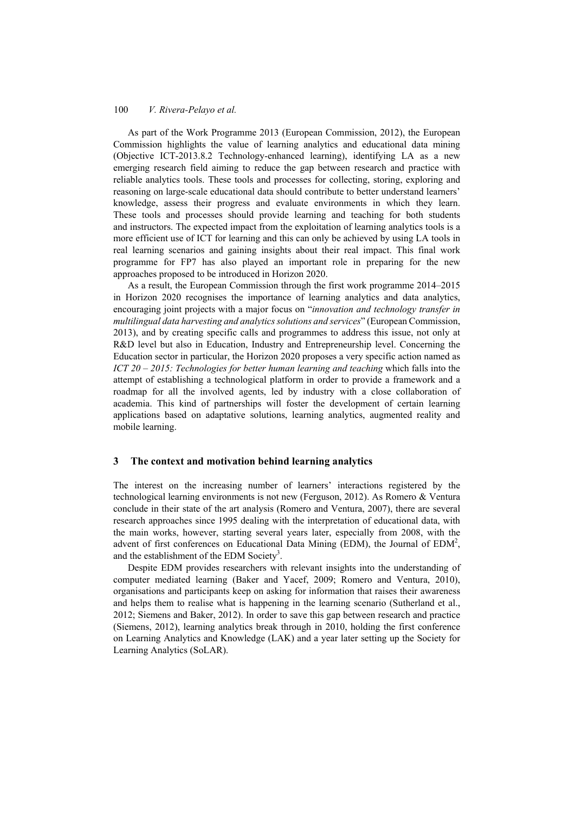As part of the Work Programme 2013 (European Commission, 2012), the European Commission highlights the value of learning analytics and educational data mining (Objective ICT-2013.8.2 Technology-enhanced learning), identifying LA as a new emerging research field aiming to reduce the gap between research and practice with reliable analytics tools. These tools and processes for collecting, storing, exploring and reasoning on large-scale educational data should contribute to better understand learners' knowledge, assess their progress and evaluate environments in which they learn. These tools and processes should provide learning and teaching for both students and instructors. The expected impact from the exploitation of learning analytics tools is a more efficient use of ICT for learning and this can only be achieved by using LA tools in real learning scenarios and gaining insights about their real impact. This final work programme for FP7 has also played an important role in preparing for the new approaches proposed to be introduced in Horizon 2020.

As a result, the European Commission through the first work programme 2014–2015 in Horizon 2020 recognises the importance of learning analytics and data analytics, encouraging joint projects with a major focus on "*innovation and technology transfer in multilingual data harvesting and analyticssolutions and services*" (European Commission, 2013), and by creating specific calls and programmes to address this issue, not only at R&D level but also in Education, Industry and Entrepreneurship level. Concerning the Education sector in particular, the Horizon 2020 proposes a very specific action named as *ICT 20 – 2015: Technologies for better human learning and teaching* which falls into the attempt of establishing a technological platform in order to provide a framework and a roadmap for all the involved agents, led by industry with a close collaboration of academia. This kind of partnerships will foster the development of certain learning applications based on adaptative solutions, learning analytics, augmented reality and mobile learning.

#### **3 The context and motivation behind learning analytics**

The interest on the increasing number of learners' interactions registered by the technological learning environments is not new (Ferguson, 2012). As Romero & Ventura conclude in their state of the art analysis (Romero and Ventura, 2007), there are several research approaches since 1995 dealing with the interpretation of educational data, with the main works, however, starting several years later, especially from 2008, with the advent of first conferences on Educational Data Mining (EDM), the Journal of  $EDM<sup>2</sup>$ , and the establishment of the EDM Society<sup>3</sup>.

Despite EDM provides researchers with relevant insights into the understanding of computer mediated learning (Baker and Yacef, 2009; Romero and Ventura, 2010), organisations and participants keep on asking for information that raises their awareness and helps them to realise what is happening in the learning scenario (Sutherland et al., 2012; Siemens and Baker, 2012). In order to save this gap between research and practice (Siemens, 2012), learning analytics break through in 2010, holding the first conference on Learning Analytics and Knowledge (LAK) and a year later setting up the Society for Learning Analytics (SoLAR).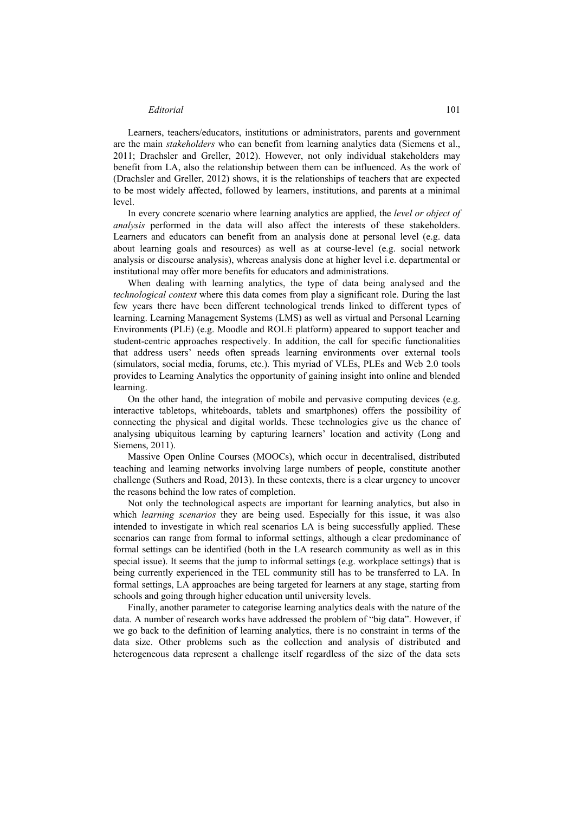Learners, teachers/educators, institutions or administrators, parents and government are the main *stakeholders* who can benefit from learning analytics data (Siemens et al., 2011; Drachsler and Greller, 2012). However, not only individual stakeholders may benefit from LA, also the relationship between them can be influenced. As the work of (Drachsler and Greller, 2012) shows, it is the relationships of teachers that are expected to be most widely affected, followed by learners, institutions, and parents at a minimal level.

In every concrete scenario where learning analytics are applied, the *level or object of analysis* performed in the data will also affect the interests of these stakeholders. Learners and educators can benefit from an analysis done at personal level (e.g. data about learning goals and resources) as well as at course-level (e.g. social network analysis or discourse analysis), whereas analysis done at higher level i.e. departmental or institutional may offer more benefits for educators and administrations.

When dealing with learning analytics, the type of data being analysed and the *technological context* where this data comes from play a significant role. During the last few years there have been different technological trends linked to different types of learning. Learning Management Systems (LMS) as well as virtual and Personal Learning Environments (PLE) (e.g. Moodle and ROLE platform) appeared to support teacher and student-centric approaches respectively. In addition, the call for specific functionalities that address users' needs often spreads learning environments over external tools (simulators, social media, forums, etc.). This myriad of VLEs, PLEs and Web 2.0 tools provides to Learning Analytics the opportunity of gaining insight into online and blended learning.

On the other hand, the integration of mobile and pervasive computing devices (e.g. interactive tabletops, whiteboards, tablets and smartphones) offers the possibility of connecting the physical and digital worlds. These technologies give us the chance of analysing ubiquitous learning by capturing learners' location and activity (Long and Siemens, 2011).

Massive Open Online Courses (MOOCs), which occur in decentralised, distributed teaching and learning networks involving large numbers of people, constitute another challenge (Suthers and Road, 2013). In these contexts, there is a clear urgency to uncover the reasons behind the low rates of completion.

Not only the technological aspects are important for learning analytics, but also in which *learning scenarios* they are being used. Especially for this issue, it was also intended to investigate in which real scenarios LA is being successfully applied. These scenarios can range from formal to informal settings, although a clear predominance of formal settings can be identified (both in the LA research community as well as in this special issue). It seems that the jump to informal settings (e.g. workplace settings) that is being currently experienced in the TEL community still has to be transferred to LA. In formal settings, LA approaches are being targeted for learners at any stage, starting from schools and going through higher education until university levels.

Finally, another parameter to categorise learning analytics deals with the nature of the data. A number of research works have addressed the problem of "big data". However, if we go back to the definition of learning analytics, there is no constraint in terms of the data size. Other problems such as the collection and analysis of distributed and heterogeneous data represent a challenge itself regardless of the size of the data sets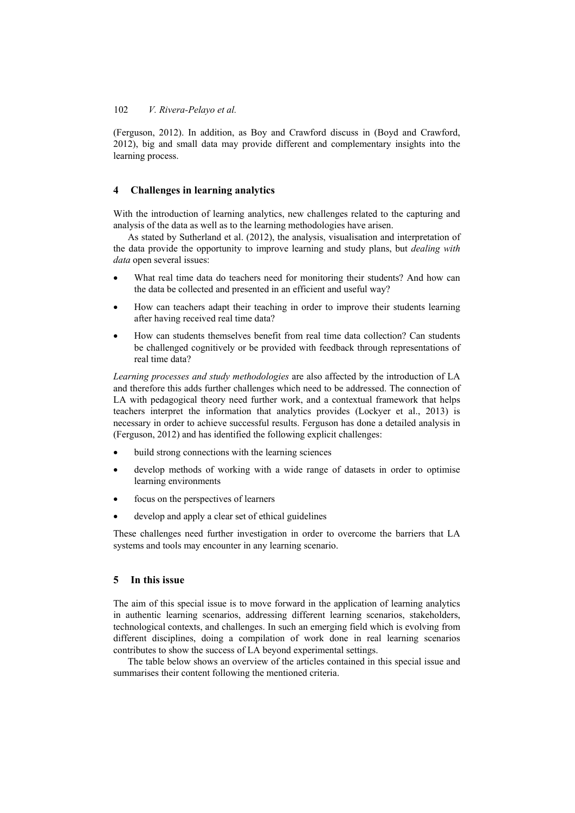(Ferguson, 2012). In addition, as Boy and Crawford discuss in (Boyd and Crawford, 2012), big and small data may provide different and complementary insights into the learning process.

### **4 Challenges in learning analytics**

With the introduction of learning analytics, new challenges related to the capturing and analysis of the data as well as to the learning methodologies have arisen.

As stated by Sutherland et al. (2012), the analysis, visualisation and interpretation of the data provide the opportunity to improve learning and study plans, but *dealing with data* open several issues:

- What real time data do teachers need for monitoring their students? And how can the data be collected and presented in an efficient and useful way?
- How can teachers adapt their teaching in order to improve their students learning after having received real time data?
- How can students themselves benefit from real time data collection? Can students be challenged cognitively or be provided with feedback through representations of real time data?

*Learning processes and study methodologies* are also affected by the introduction of LA and therefore this adds further challenges which need to be addressed. The connection of LA with pedagogical theory need further work, and a contextual framework that helps teachers interpret the information that analytics provides (Lockyer et al., 2013) is necessary in order to achieve successful results. Ferguson has done a detailed analysis in (Ferguson, 2012) and has identified the following explicit challenges:

- build strong connections with the learning sciences
- develop methods of working with a wide range of datasets in order to optimise learning environments
- focus on the perspectives of learners
- develop and apply a clear set of ethical guidelines

These challenges need further investigation in order to overcome the barriers that LA systems and tools may encounter in any learning scenario.

#### **5 In this issue**

The aim of this special issue is to move forward in the application of learning analytics in authentic learning scenarios, addressing different learning scenarios, stakeholders, technological contexts, and challenges. In such an emerging field which is evolving from different disciplines, doing a compilation of work done in real learning scenarios contributes to show the success of LA beyond experimental settings.

The table below shows an overview of the articles contained in this special issue and summarises their content following the mentioned criteria.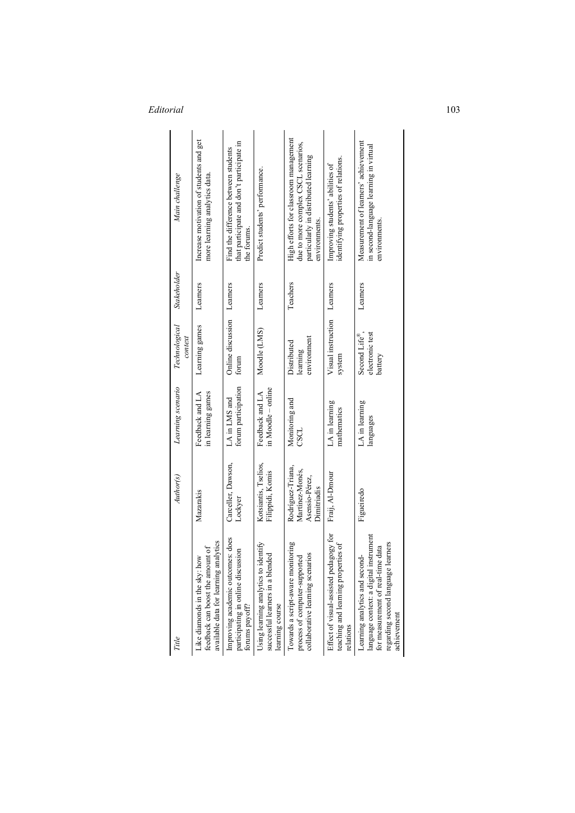| Main challenge<br><b>Stakeholder</b> | Increase motivation of students and get<br>more learning analytics data.<br>Learners                       | that participate and don't participate in<br>Find the difference between students<br>the forums.<br>Learners | Predict students' performance.<br>Learners                                                  | High efforts for classroom management<br>due to more complex CSCL scenarios,<br>particularly in distributed learning<br>environments.<br>Teachers | identifying properties of relations.<br>Improving students' abilities of<br>Learners       | Measurement of learners' achievement<br>in second-language learning in virtual<br>environments.<br>Learners                                                        |
|--------------------------------------|------------------------------------------------------------------------------------------------------------|--------------------------------------------------------------------------------------------------------------|---------------------------------------------------------------------------------------------|---------------------------------------------------------------------------------------------------------------------------------------------------|--------------------------------------------------------------------------------------------|--------------------------------------------------------------------------------------------------------------------------------------------------------------------|
| <b>Technological</b><br>context      | Learning games                                                                                             | <b>Online</b> discussion<br>forum                                                                            | Moodle (LMS)                                                                                | environment<br>Distributed<br>learning                                                                                                            | Visual instruction<br>system                                                               | electronic test<br>Second Life®,<br>battery                                                                                                                        |
| Learning scenario                    | in learning games<br>Feedback and LA                                                                       | forum participation<br>LA in LMS and                                                                         | in Moodle – online<br>Feedback and LA                                                       | Monitoring and<br>CSCL                                                                                                                            | LA in learning<br>mathematics                                                              | LA in learning<br>languages                                                                                                                                        |
| Author(s)                            | Mazarakis                                                                                                  | Carceller, Dawson,<br>Lockyer                                                                                | Kotsiantis, Tselios,<br>Filippidi, Komis                                                    | Rodríguez-Triana,<br>Martinez-Monés,<br>Asensio-Pérez,<br>Dimitriadis                                                                             | Fraij, Al-Dmour                                                                            | Figueiredo                                                                                                                                                         |
| Title                                | available data for learning analytics<br>feedback can boost the amount of<br>Like diamonds in the sky: how | Improving academic outcomes: does<br>participating in online discussion<br>forums payoff?                    | Using learning analytics to identify<br>successful learners in a blended<br>learning course | Towards a script-aware monitoring<br>collaborative learning scenarios<br>process of computer-supported                                            | Effect of visual-assisted pedagogy for<br>teaching and learning properties of<br>relations | language context: a digital instrument<br>regarding second language learners<br>for measurement of real-time data<br>Learning analytics and second-<br>achievement |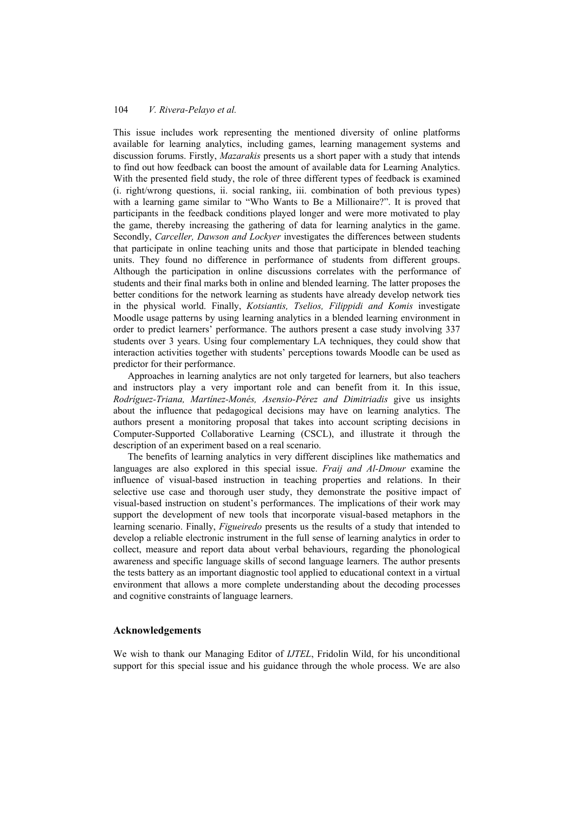This issue includes work representing the mentioned diversity of online platforms available for learning analytics, including games, learning management systems and discussion forums. Firstly, *Mazarakis* presents us a short paper with a study that intends to find out how feedback can boost the amount of available data for Learning Analytics. With the presented field study, the role of three different types of feedback is examined (i. right/wrong questions, ii. social ranking, iii. combination of both previous types) with a learning game similar to "Who Wants to Be a Millionaire?". It is proved that participants in the feedback conditions played longer and were more motivated to play the game, thereby increasing the gathering of data for learning analytics in the game. Secondly, *Carceller, Dawson and Lockyer* investigates the differences between students that participate in online teaching units and those that participate in blended teaching units. They found no difference in performance of students from different groups. Although the participation in online discussions correlates with the performance of students and their final marks both in online and blended learning. The latter proposes the better conditions for the network learning as students have already develop network ties in the physical world. Finally, *Kotsiantis, Tselios, Filippidi and Komis* investigate Moodle usage patterns by using learning analytics in a blended learning environment in order to predict learners' performance. The authors present a case study involving 337 students over 3 years. Using four complementary LA techniques, they could show that interaction activities together with students' perceptions towards Moodle can be used as predictor for their performance.

Approaches in learning analytics are not only targeted for learners, but also teachers and instructors play a very important role and can benefit from it. In this issue, *Rodríguez-Triana, Martínez-Monés, Asensio-Pérez and Dimitriadis* give us insights about the influence that pedagogical decisions may have on learning analytics. The authors present a monitoring proposal that takes into account scripting decisions in Computer-Supported Collaborative Learning (CSCL), and illustrate it through the description of an experiment based on a real scenario.

The benefits of learning analytics in very different disciplines like mathematics and languages are also explored in this special issue. *Fraij and Al-Dmour* examine the influence of visual-based instruction in teaching properties and relations. In their selective use case and thorough user study, they demonstrate the positive impact of visual-based instruction on student's performances. The implications of their work may support the development of new tools that incorporate visual-based metaphors in the learning scenario. Finally, *Figueiredo* presents us the results of a study that intended to develop a reliable electronic instrument in the full sense of learning analytics in order to collect, measure and report data about verbal behaviours, regarding the phonological awareness and specific language skills of second language learners. The author presents the tests battery as an important diagnostic tool applied to educational context in a virtual environment that allows a more complete understanding about the decoding processes and cognitive constraints of language learners.

#### **Acknowledgements**

We wish to thank our Managing Editor of *IJTEL*, Fridolin Wild, for his unconditional support for this special issue and his guidance through the whole process. We are also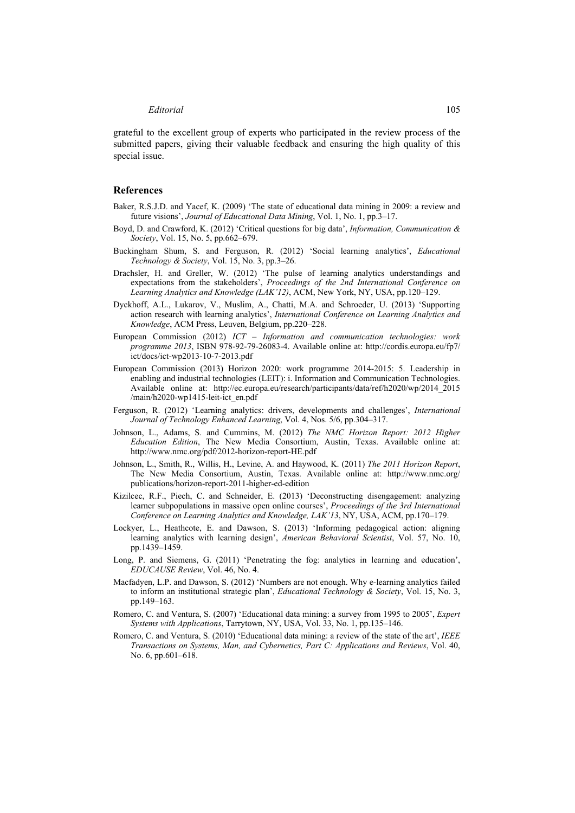grateful to the excellent group of experts who participated in the review process of the submitted papers, giving their valuable feedback and ensuring the high quality of this special issue.

#### **References**

- Baker, R.S.J.D. and Yacef, K. (2009) 'The state of educational data mining in 2009: a review and future visions', *Journal of Educational Data Mining*, Vol. 1, No. 1, pp.3–17.
- Boyd, D. and Crawford, K. (2012) 'Critical questions for big data', *Information, Communication & Society*, Vol. 15, No. 5, pp.662–679.
- Buckingham Shum, S. and Ferguson, R. (2012) 'Social learning analytics', *Educational Technology & Society*, Vol. 15, No. 3, pp.3–26.
- Drachsler, H. and Greller, W. (2012) 'The pulse of learning analytics understandings and expectations from the stakeholders', *Proceedings of the 2nd International Conference on Learning Analytics and Knowledge (LAK'12)*, ACM, New York, NY, USA, pp.120–129.
- Dyckhoff, A.L., Lukarov, V., Muslim, A., Chatti, M.A. and Schroeder, U. (2013) 'Supporting action research with learning analytics', *International Conference on Learning Analytics and Knowledge*, ACM Press, Leuven, Belgium, pp.220–228.
- European Commission (2012) *ICT Information and communication technologies: work programme 2013*, ISBN 978-92-79-26083-4. Available online at: http://cordis.europa.eu/fp7/ ict/docs/ict-wp2013-10-7-2013.pdf
- European Commission (2013) Horizon 2020: work programme 2014-2015: 5. Leadership in enabling and industrial technologies (LEIT): i. Information and Communication Technologies. Available online at: http://ec.europa.eu/research/participants/data/ref/h2020/wp/2014\_2015 /main/h2020-wp1415-leit-ict\_en.pdf
- Ferguson, R. (2012) 'Learning analytics: drivers, developments and challenges', *International Journal of Technology Enhanced Learning*, Vol. 4, Nos. 5/6, pp.304–317.
- Johnson, L., Adams, S. and Cummins, M. (2012) *The NMC Horizon Report: 2012 Higher Education Edition*, The New Media Consortium, Austin, Texas. Available online at: http://www.nmc.org/pdf/2012-horizon-report-HE.pdf
- Johnson, L., Smith, R., Willis, H., Levine, A. and Haywood, K. (2011) *The 2011 Horizon Report*, The New Media Consortium, Austin, Texas. Available online at: http://www.nmc.org/ publications/horizon-report-2011-higher-ed-edition
- Kizilcec, R.F., Piech, C. and Schneider, E. (2013) 'Deconstructing disengagement: analyzing learner subpopulations in massive open online courses', *Proceedings of the 3rd International Conference on Learning Analytics and Knowledge, LAK'13*, NY, USA, ACM, pp.170–179.
- Lockyer, L., Heathcote, E. and Dawson, S. (2013) 'Informing pedagogical action: aligning learning analytics with learning design', *American Behavioral Scientist*, Vol. 57, No. 10, pp.1439–1459.
- Long, P. and Siemens, G. (2011) 'Penetrating the fog: analytics in learning and education', *EDUCAUSE Review*, Vol. 46, No. 4.
- Macfadyen, L.P. and Dawson, S. (2012) 'Numbers are not enough. Why e-learning analytics failed to inform an institutional strategic plan', *Educational Technology & Society*, Vol. 15, No. 3, pp.149–163.
- Romero, C. and Ventura, S. (2007) 'Educational data mining: a survey from 1995 to 2005', *Expert Systems with Applications*, Tarrytown, NY, USA, Vol. 33, No. 1, pp.135–146.
- Romero, C. and Ventura, S. (2010) 'Educational data mining: a review of the state of the art', *IEEE Transactions on Systems, Man, and Cybernetics, Part C: Applications and Reviews*, Vol. 40, No. 6, pp.601–618.